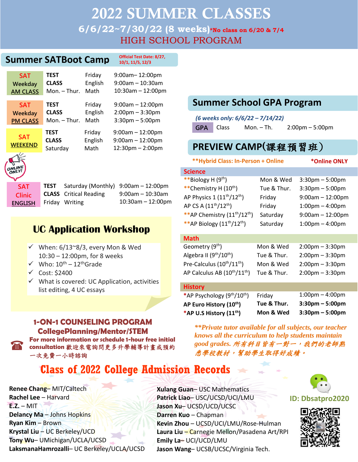## 2022 SUMMER CLASSES **6/6/22~7/30/22 (8 weeks)\*No class on 6/20 & 7/4** HIGH SCHOOL PROGRAM

**Official Test Date: 8/27,** 

| <b>Summer SATBoot Camp</b> |             |        | <b>Official Test Date: 8/2</b><br>10/1, 11/5, 12/3 |  |
|----------------------------|-------------|--------|----------------------------------------------------|--|
| SAT.                       | <b>TEST</b> | Fridav | 9:00am-12:00pm                                     |  |

| <i>- -</i> -<br>Weekday | <b>CLASS</b> | .<br>English | $9:00$ am - 10:30am   |
|-------------------------|--------------|--------------|-----------------------|
| <b>AM CLASS</b>         | Mon. - Thur. | Math         | $10:30$ am - 12:00pm  |
| <b>SAT</b>              | <b>TEST</b>  | Friday       | $9:00am - 12:00pm$    |
| Weekday                 | <b>CLASS</b> | English      | $2:00$ pm $-3:30$ pm  |
| <b>PM CLASS</b>         | Mon. - Thur. | Math         | $3:30$ pm $-5:00$ pm  |
| <b>SAT</b>              | <b>TEST</b>  | Friday       | $9:00$ am $-12:00$ pm |
| <b>WEEKEND</b>          | <b>CLASS</b> | English      | $9:00am - 12:00pm$    |
| $\Delta$ //             | Saturday     | Math         | 12:30pm - 2:00pm      |



**SAT Clinic ENGLISH**

**TEST** Saturday (Monthly) 9:00am – 12:00pm **CLASS** Critical Reading 9:00am – 10:30am Friday Writing 10:30am – 12:00pm

### **UC Application Workshop**

- $\checkmark$  When: 6/13~8/3, every Mon & Wed 10:30 – 12:00pm, for 8 weeks
- $\checkmark$  Who:  $10^{\text{th}} 12^{\text{th}}$ Grade
- ✓ Cost: \$2400
- $\checkmark$  What is covered: UC Application, activities list editing, 4 UC essays

#### **1-ON-1 COUNSELING PROGRAM CollegePlanning/Mentor/STEM**



**For more information or schedule 1-hour free initial consultation** 歡迎來電詢問更多升學輔導計畫或預約 一次免費一小時諮詢

# **Class of 2022 College Admission Records**



#### **Summer School GPA Program**

*(6 weeks only: 6/6/22 – 7/14/22)*

**GPA** Class Mon. – Th. 2:00pm – 5:00pm

## **PREVIEW CAMP**(課程預習班)

**Science \*\***Biology H (9th) Mon & Wed 3:30pm – 5:00pm **\*\***Chemistry H (10th) Tue & Thur. 3:30pm – 5:00pm AP Physics  $1 (11^{th}/12^{th})$  Friday 9:00am – 12:00pm AP CS A  $(11^{th}/12^{th})$  Friday 1:00pm – 4:00pm **\*\***AP Chemistry (11th/12th) Saturday 9:00am – 12:00pm **\*\***AP Biology (11th/12th) Saturday 1:00pm – 4:00pm **Math** Geometry  $(9<sup>th</sup>)$  Mon & Wed 2:00pm – 3:30pm **\*\*Hybrid Class: In-Person + Online \*Online ONLY**

# Algebra II ( $9^{th}/10^{th}$ ) Tue & Thur. 2:00pm – 3:30pm Pre-Calculus  $(10^{th}/11^{th})$  Mon & Wed 2:00pm – 3:30pm

AP Calculus AB  $(10^{th}/11^{th})$  Tue & Thur. 2:00pm - 3:30pm

#### **History**

**Xulang Guan**– USC Mathematics **Patrick Liao**– USC/UCSD/UCI/LMU

**Kevin Zhou** – UCSD/UCI/LMU/Rose-Hulman **Laura Liu** – Carnegie Mellon/Pasadena Art/RPI

**Jason Wang**– UCSB/UCSC/Virginia Tech.

**Jason Xu**– UCSD/UCD/UCSC **Darren Kuo** – Chapman

**Emily La**– UCI/UCD/LMU

| *AP Psychology (9 <sup>th</sup> /10 <sup>th</sup> ) | Fridav      | $1:00 \text{pm} - 4:00 \text{pm}$ |
|-----------------------------------------------------|-------------|-----------------------------------|
| AP Euro History (10 <sup>th</sup> )                 | Tue & Thur. | $3:30 \text{pm} - 5:00 \text{pm}$ |
| *AP U.S History (11 <sup>th</sup> )                 | Mon & Wed   | $3:30$ pm – 5:00pm                |

*\*\*Private tutor available for all subjects, our teacher knows all the curriculum to help students maintain good grades.* 所有科目皆有一對一,我們的老師熟 悉學校教材,幫助學生取得好成績。



#### **ID: Dbsatpro2020**